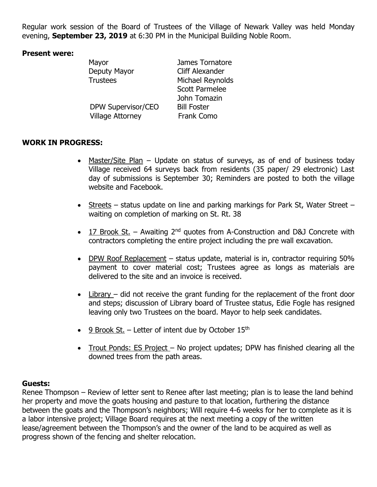Regular work session of the Board of Trustees of the Village of Newark Valley was held Monday evening, **September 23, 2019** at 6:30 PM in the Municipal Building Noble Room.

## **Present were:**

| Mayor                   | James Tornatore        |
|-------------------------|------------------------|
| Deputy Mayor            | <b>Cliff Alexander</b> |
| <b>Trustees</b>         | Michael Reynolds       |
|                         | <b>Scott Parmelee</b>  |
|                         | John Tomazin           |
| DPW Supervisor/CEO      | <b>Bill Foster</b>     |
| <b>Village Attorney</b> | <b>Frank Como</b>      |
|                         |                        |

## **WORK IN PROGRESS:**

- Master/Site Plan Update on status of surveys, as of end of business today Village received 64 surveys back from residents (35 paper/ 29 electronic) Last day of submissions is September 30; Reminders are posted to both the village website and Facebook.
- Streets status update on line and parking markings for Park St, Water Street waiting on completion of marking on St. Rt. 38
- 17 Brook St. Awaiting  $2^{nd}$  guotes from A-Construction and D&J Concrete with contractors completing the entire project including the pre wall excavation.
- DPW Roof Replacement status update, material is in, contractor requiring 50% payment to cover material cost; Trustees agree as longs as materials are delivered to the site and an invoice is received.
- Library did not receive the grant funding for the replacement of the front door and steps; discussion of Library board of Trustee status, Edie Fogle has resigned leaving only two Trustees on the board. Mayor to help seek candidates.
- $\cdot$  9 Brook St. Letter of intent due by October 15<sup>th</sup>
- Trout Ponds: ES Project No project updates; DPW has finished clearing all the downed trees from the path areas.

## **Guests:**

Renee Thompson – Review of letter sent to Renee after last meeting; plan is to lease the land behind her property and move the goats housing and pasture to that location, furthering the distance between the goats and the Thompson's neighbors; Will require 4-6 weeks for her to complete as it is a labor intensive project; Village Board requires at the next meeting a copy of the written lease/agreement between the Thompson's and the owner of the land to be acquired as well as progress shown of the fencing and shelter relocation.